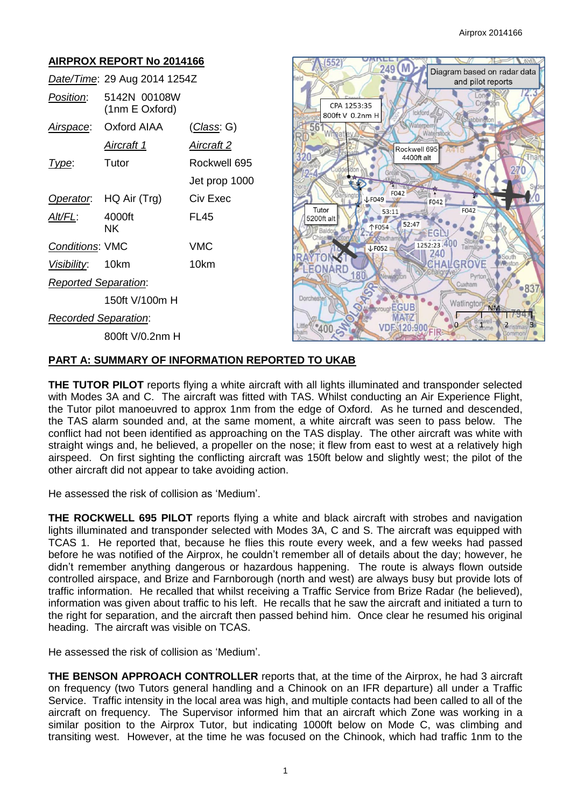# **AIRPROX REPORT No 2014166**

|                             | Date/Time: 29 Aug 2014 1254Z   |                    |
|-----------------------------|--------------------------------|--------------------|
| Position:                   | 5142N 00108W<br>(1nm E Oxford) |                    |
| <u>Airspace:</u>            | Oxford AIAA                    | <u>(Class</u> : G) |
|                             | <u>Aircraft 1</u>              | <u>Aircraft 2</u>  |
| Type:                       | Tutor                          | Rockwell 695       |
|                             |                                | Jet prop 1000      |
|                             | Operator. HQ Air (Trg)         | Civ Exec           |
| AIt/FL:                     | 4000ft<br>ΝK                   | FL45               |
| <b>Conditions: VMC</b>      |                                | <b>VMC</b>         |
| Visibility: 10km            |                                | 10km               |
| <b>Reported Separation:</b> |                                |                    |
|                             | 150ft V/100m H                 |                    |
| Recorded Separation:        |                                |                    |
|                             | 800ft V/0.2nm H                |                    |



# **PART A: SUMMARY OF INFORMATION REPORTED TO UKAB**

**THE TUTOR PILOT** reports flying a white aircraft with all lights illuminated and transponder selected with Modes 3A and C. The aircraft was fitted with TAS. Whilst conducting an Air Experience Flight, the Tutor pilot manoeuvred to approx 1nm from the edge of Oxford. As he turned and descended, the TAS alarm sounded and, at the same moment, a white aircraft was seen to pass below. The conflict had not been identified as approaching on the TAS display. The other aircraft was white with straight wings and, he believed, a propeller on the nose; it flew from east to west at a relatively high airspeed. On first sighting the conflicting aircraft was 150ft below and slightly west; the pilot of the other aircraft did not appear to take avoiding action.

He assessed the risk of collision as 'Medium'.

**THE ROCKWELL 695 PILOT** reports flying a white and black aircraft with strobes and navigation lights illuminated and transponder selected with Modes 3A, C and S. The aircraft was equipped with TCAS 1. He reported that, because he flies this route every week, and a few weeks had passed before he was notified of the Airprox, he couldn't remember all of details about the day; however, he didn't remember anything dangerous or hazardous happening. The route is always flown outside controlled airspace, and Brize and Farnborough (north and west) are always busy but provide lots of traffic information. He recalled that whilst receiving a Traffic Service from Brize Radar (he believed), information was given about traffic to his left. He recalls that he saw the aircraft and initiated a turn to the right for separation, and the aircraft then passed behind him. Once clear he resumed his original heading. The aircraft was visible on TCAS.

He assessed the risk of collision as 'Medium'.

**THE BENSON APPROACH CONTROLLER** reports that, at the time of the Airprox, he had 3 aircraft on frequency (two Tutors general handling and a Chinook on an IFR departure) all under a Traffic Service. Traffic intensity in the local area was high, and multiple contacts had been called to all of the aircraft on frequency. The Supervisor informed him that an aircraft which Zone was working in a similar position to the Airprox Tutor, but indicating 1000ft below on Mode C, was climbing and transiting west. However, at the time he was focused on the Chinook, which had traffic 1nm to the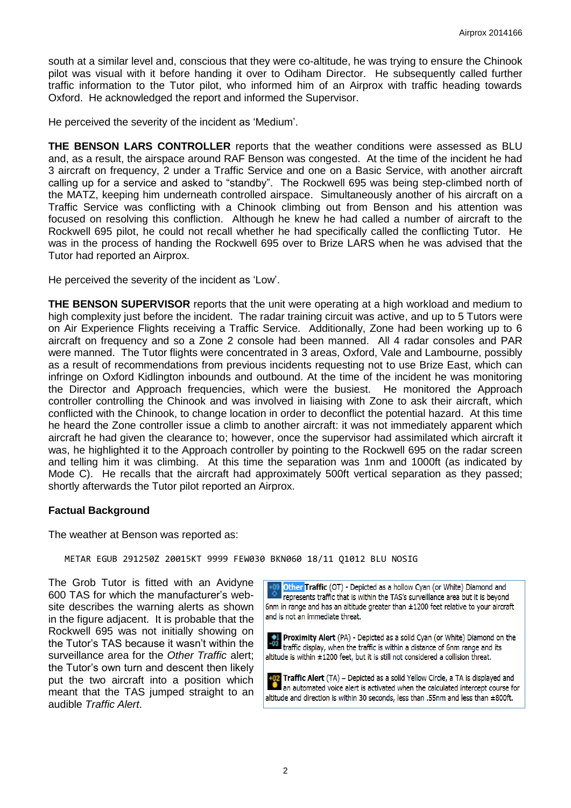south at a similar level and, conscious that they were co-altitude, he was trying to ensure the Chinook pilot was visual with it before handing it over to Odiham Director. He subsequently called further traffic information to the Tutor pilot, who informed him of an Airprox with traffic heading towards Oxford. He acknowledged the report and informed the Supervisor.

He perceived the severity of the incident as 'Medium'.

**THE BENSON LARS CONTROLLER** reports that the weather conditions were assessed as BLU and, as a result, the airspace around RAF Benson was congested. At the time of the incident he had 3 aircraft on frequency, 2 under a Traffic Service and one on a Basic Service, with another aircraft calling up for a service and asked to "standby". The Rockwell 695 was being step-climbed north of the MATZ, keeping him underneath controlled airspace. Simultaneously another of his aircraft on a Traffic Service was conflicting with a Chinook climbing out from Benson and his attention was focused on resolving this confliction. Although he knew he had called a number of aircraft to the Rockwell 695 pilot, he could not recall whether he had specifically called the conflicting Tutor. He was in the process of handing the Rockwell 695 over to Brize LARS when he was advised that the Tutor had reported an Airprox.

He perceived the severity of the incident as 'Low'.

**THE BENSON SUPERVISOR** reports that the unit were operating at a high workload and medium to high complexity just before the incident. The radar training circuit was active, and up to 5 Tutors were on Air Experience Flights receiving a Traffic Service. Additionally, Zone had been working up to 6 aircraft on frequency and so a Zone 2 console had been manned. All 4 radar consoles and PAR were manned. The Tutor flights were concentrated in 3 areas, Oxford, Vale and Lambourne, possibly as a result of recommendations from previous incidents requesting not to use Brize East, which can infringe on Oxford Kidlington inbounds and outbound. At the time of the incident he was monitoring the Director and Approach frequencies, which were the busiest. He monitored the Approach controller controlling the Chinook and was involved in liaising with Zone to ask their aircraft, which conflicted with the Chinook, to change location in order to deconflict the potential hazard. At this time he heard the Zone controller issue a climb to another aircraft: it was not immediately apparent which aircraft he had given the clearance to; however, once the supervisor had assimilated which aircraft it was, he highlighted it to the Approach controller by pointing to the Rockwell 695 on the radar screen and telling him it was climbing. At this time the separation was 1nm and 1000ft (as indicated by Mode C). He recalls that the aircraft had approximately 500ft vertical separation as they passed; shortly afterwards the Tutor pilot reported an Airprox.

#### **Factual Background**

The weather at Benson was reported as:

METAR EGUB 291250Z 20015KT 9999 FEW030 BKN060 18/11 Q1012 BLU NOSIG

The Grob Tutor is fitted with an Avidyne 600 TAS for which the manufacturer's website describes the warning alerts as shown in the figure adjacent. It is probable that the Rockwell 695 was not initially showing on the Tutor's TAS because it wasn't within the surveillance area for the *Other Traffic* alert; the Tutor's own turn and descent then likely put the two aircraft into a position which meant that the TAS jumped straight to an audible *Traffic Alert*.

Other Traffic (OT) - Depicted as a hollow Cyan (or White) Diamond and represents traffic that is within the TAS's surveillance area but it is beyond 6nm in range and has an altitude greater than ±1200 feet relative to your aircraft and is not an immediate threat.

Proximity Alert (PA) - Depicted as a solid Cyan (or White) Diamond on the  $\frac{1}{203}$ traffic display, when the traffic is within a distance of 6nm range and its altitude is within ±1200 feet, but it is still not considered a collision threat.

Traffic Alert (TA) - Depicted as a solid Yellow Circle, a TA is displayed and an automated voice alert is activated when the calculated intercept course for altitude and direction is within 30 seconds, less than .55nm and less than ±800ft.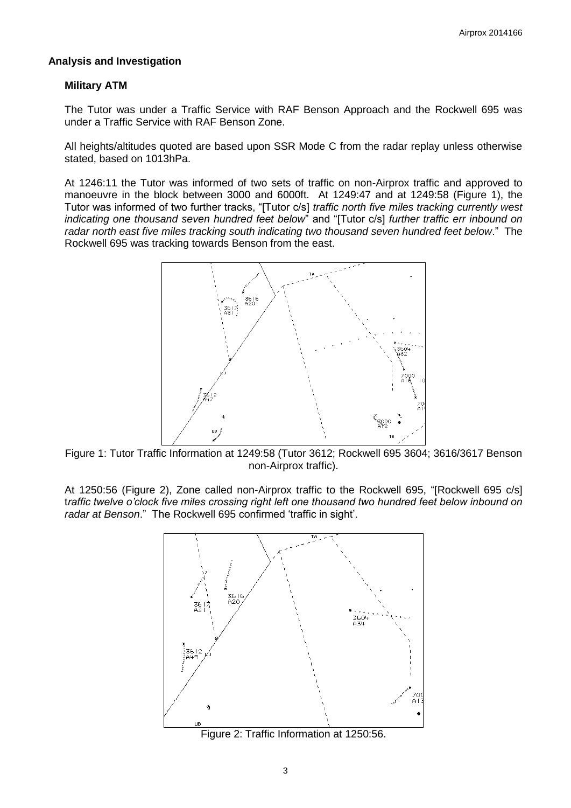#### **Analysis and Investigation**

#### **Military ATM**

The Tutor was under a Traffic Service with RAF Benson Approach and the Rockwell 695 was under a Traffic Service with RAF Benson Zone.

All heights/altitudes quoted are based upon SSR Mode C from the radar replay unless otherwise stated, based on 1013hPa.

At 1246:11 the Tutor was informed of two sets of traffic on non-Airprox traffic and approved to manoeuvre in the block between 3000 and 6000ft. At 1249:47 and at 1249:58 (Figure 1), the Tutor was informed of two further tracks, "[Tutor c/s] *traffic north five miles tracking currently west indicating one thousand seven hundred feet below*" and "[Tutor c/s] *further traffic err inbound on radar north east five miles tracking south indicating two thousand seven hundred feet below*." The Rockwell 695 was tracking towards Benson from the east.



Figure 1: Tutor Traffic Information at 1249:58 (Tutor 3612; Rockwell 695 3604; 3616/3617 Benson non-Airprox traffic).

At 1250:56 (Figure 2), Zone called non-Airprox traffic to the Rockwell 695, "[Rockwell 695 c/s] t*raffic twelve o'clock five miles crossing right left one thousand two hundred feet below inbound on radar at Benson*." The Rockwell 695 confirmed 'traffic in sight'.



Figure 2: Traffic Information at 1250:56.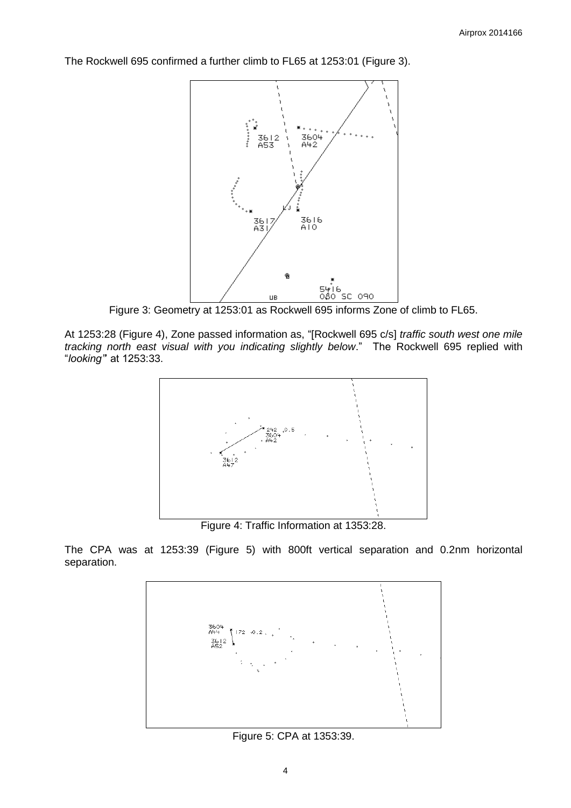The Rockwell 695 confirmed a further climb to FL65 at 1253:01 (Figure 3).



Figure 3: Geometry at 1253:01 as Rockwell 695 informs Zone of climb to FL65.

At 1253:28 (Figure 4), Zone passed information as, "[Rockwell 695 c/s] *traffic south west one mile tracking north east visual with you indicating slightly below*." The Rockwell 695 replied with "*looking"*' at 1253:33.



Figure 4: Traffic Information at 1353:28.

The CPA was at 1253:39 (Figure 5) with 800ft vertical separation and 0.2nm horizontal separation.



Figure 5: CPA at 1353:39.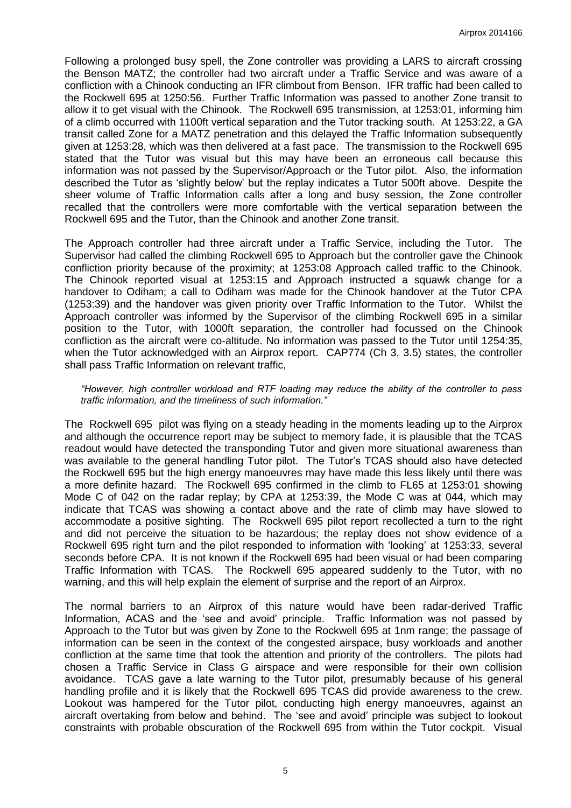Following a prolonged busy spell, the Zone controller was providing a LARS to aircraft crossing the Benson MATZ; the controller had two aircraft under a Traffic Service and was aware of a confliction with a Chinook conducting an IFR climbout from Benson. IFR traffic had been called to the Rockwell 695 at 1250:56. Further Traffic Information was passed to another Zone transit to allow it to get visual with the Chinook. The Rockwell 695 transmission, at 1253:01, informing him of a climb occurred with 1100ft vertical separation and the Tutor tracking south. At 1253:22, a GA transit called Zone for a MATZ penetration and this delayed the Traffic Information subsequently given at 1253:28, which was then delivered at a fast pace. The transmission to the Rockwell 695 stated that the Tutor was visual but this may have been an erroneous call because this information was not passed by the Supervisor/Approach or the Tutor pilot. Also, the information described the Tutor as 'slightly below' but the replay indicates a Tutor 500ft above. Despite the sheer volume of Traffic Information calls after a long and busy session, the Zone controller recalled that the controllers were more comfortable with the vertical separation between the Rockwell 695 and the Tutor, than the Chinook and another Zone transit.

The Approach controller had three aircraft under a Traffic Service, including the Tutor. The Supervisor had called the climbing Rockwell 695 to Approach but the controller gave the Chinook confliction priority because of the proximity; at 1253:08 Approach called traffic to the Chinook. The Chinook reported visual at 1253:15 and Approach instructed a squawk change for a handover to Odiham; a call to Odiham was made for the Chinook handover at the Tutor CPA (1253:39) and the handover was given priority over Traffic Information to the Tutor. Whilst the Approach controller was informed by the Supervisor of the climbing Rockwell 695 in a similar position to the Tutor, with 1000ft separation, the controller had focussed on the Chinook confliction as the aircraft were co-altitude. No information was passed to the Tutor until 1254:35, when the Tutor acknowledged with an Airprox report. CAP774 (Ch 3, 3.5) states, the controller shall pass Traffic Information on relevant traffic,

#### *"However, high controller workload and RTF loading may reduce the ability of the controller to pass traffic information, and the timeliness of such information."*

The Rockwell 695 pilot was flying on a steady heading in the moments leading up to the Airprox and although the occurrence report may be subject to memory fade, it is plausible that the TCAS readout would have detected the transponding Tutor and given more situational awareness than was available to the general handling Tutor pilot. The Tutor's TCAS should also have detected the Rockwell 695 but the high energy manoeuvres may have made this less likely until there was a more definite hazard. The Rockwell 695 confirmed in the climb to FL65 at 1253:01 showing Mode C of 042 on the radar replay; by CPA at 1253:39, the Mode C was at 044, which may indicate that TCAS was showing a contact above and the rate of climb may have slowed to accommodate a positive sighting. The Rockwell 695 pilot report recollected a turn to the right and did not perceive the situation to be hazardous; the replay does not show evidence of a Rockwell 695 right turn and the pilot responded to information with 'looking' at 1253:33, several seconds before CPA. It is not known if the Rockwell 695 had been visual or had been comparing Traffic Information with TCAS. The Rockwell 695 appeared suddenly to the Tutor, with no warning, and this will help explain the element of surprise and the report of an Airprox.

The normal barriers to an Airprox of this nature would have been radar-derived Traffic Information, ACAS and the 'see and avoid' principle. Traffic Information was not passed by Approach to the Tutor but was given by Zone to the Rockwell 695 at 1nm range; the passage of information can be seen in the context of the congested airspace, busy workloads and another confliction at the same time that took the attention and priority of the controllers. The pilots had chosen a Traffic Service in Class G airspace and were responsible for their own collision avoidance. TCAS gave a late warning to the Tutor pilot, presumably because of his general handling profile and it is likely that the Rockwell 695 TCAS did provide awareness to the crew. Lookout was hampered for the Tutor pilot, conducting high energy manoeuvres, against an aircraft overtaking from below and behind. The 'see and avoid' principle was subject to lookout constraints with probable obscuration of the Rockwell 695 from within the Tutor cockpit. Visual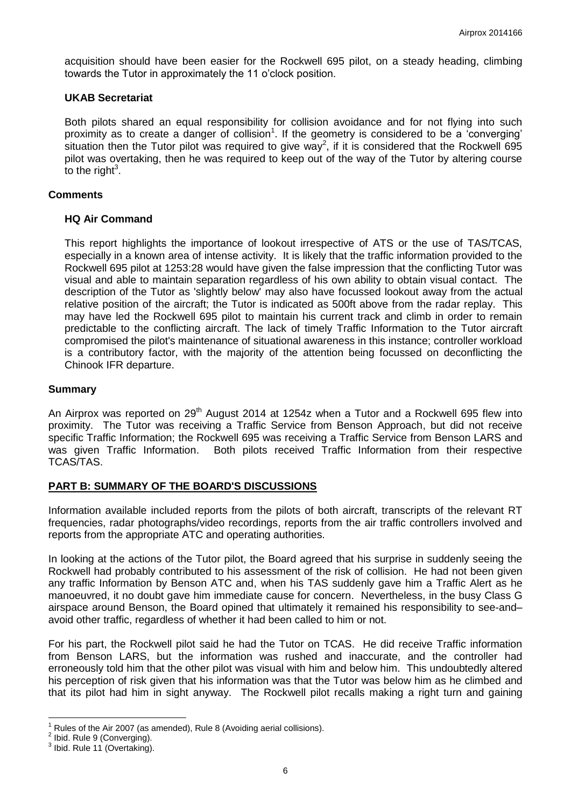acquisition should have been easier for the Rockwell 695 pilot, on a steady heading, climbing towards the Tutor in approximately the 11 o'clock position.

## **UKAB Secretariat**

Both pilots shared an equal responsibility for collision avoidance and for not flying into such proximity as to create a danger of collision<sup>1</sup>. If the geometry is considered to be a 'converging' situation then the Tutor pilot was required to give way<sup>2</sup>, if it is considered that the Rockwell 695 pilot was overtaking, then he was required to keep out of the way of the Tutor by altering course to the right $3$ .

# **Comments**

## **HQ Air Command**

This report highlights the importance of lookout irrespective of ATS or the use of TAS/TCAS, especially in a known area of intense activity. It is likely that the traffic information provided to the Rockwell 695 pilot at 1253:28 would have given the false impression that the conflicting Tutor was visual and able to maintain separation regardless of his own ability to obtain visual contact. The description of the Tutor as 'slightly below' may also have focussed lookout away from the actual relative position of the aircraft; the Tutor is indicated as 500ft above from the radar replay. This may have led the Rockwell 695 pilot to maintain his current track and climb in order to remain predictable to the conflicting aircraft. The lack of timely Traffic Information to the Tutor aircraft compromised the pilot's maintenance of situational awareness in this instance; controller workload is a contributory factor, with the majority of the attention being focussed on deconflicting the Chinook IFR departure.

## **Summary**

An Airprox was reported on 29<sup>th</sup> August 2014 at 1254z when a Tutor and a Rockwell 695 flew into proximity. The Tutor was receiving a Traffic Service from Benson Approach, but did not receive specific Traffic Information; the Rockwell 695 was receiving a Traffic Service from Benson LARS and was given Traffic Information. Both pilots received Traffic Information from their respective TCAS/TAS.

# **PART B: SUMMARY OF THE BOARD'S DISCUSSIONS**

Information available included reports from the pilots of both aircraft, transcripts of the relevant RT frequencies, radar photographs/video recordings, reports from the air traffic controllers involved and reports from the appropriate ATC and operating authorities.

In looking at the actions of the Tutor pilot, the Board agreed that his surprise in suddenly seeing the Rockwell had probably contributed to his assessment of the risk of collision. He had not been given any traffic Information by Benson ATC and, when his TAS suddenly gave him a Traffic Alert as he manoeuvred, it no doubt gave him immediate cause for concern. Nevertheless, in the busy Class G airspace around Benson, the Board opined that ultimately it remained his responsibility to see-and– avoid other traffic, regardless of whether it had been called to him or not.

For his part, the Rockwell pilot said he had the Tutor on TCAS. He did receive Traffic information from Benson LARS, but the information was rushed and inaccurate, and the controller had erroneously told him that the other pilot was visual with him and below him. This undoubtedly altered his perception of risk given that his information was that the Tutor was below him as he climbed and that its pilot had him in sight anyway. The Rockwell pilot recalls making a right turn and gaining

 $\overline{a}$ 1 Rules of the Air 2007 (as amended), Rule 8 (Avoiding aerial collisions).

 $2$  Ibid. Rule 9 (Converging).

 $3$  Ibid. Rule 11 (Overtaking).